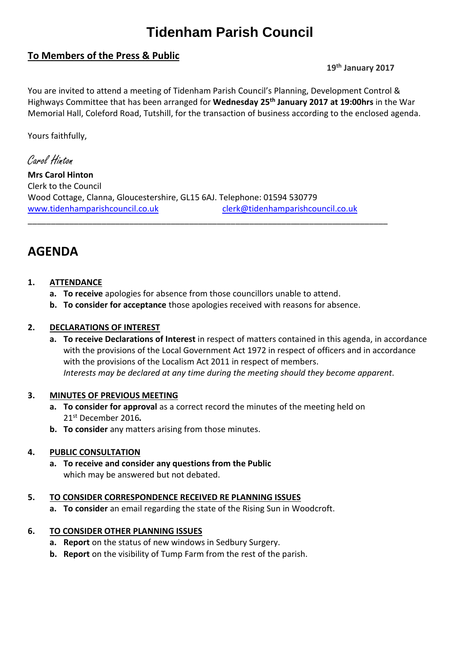# **Tidenham Parish Council**

# **To Members of the Press & Public**

**19th January 2017**

You are invited to attend a meeting of Tidenham Parish Council's Planning, Development Control & Highways Committee that has been arranged for **Wednesday 25 th January 2017 at 19:00hrs** in the War Memorial Hall, Coleford Road, Tutshill, for the transaction of business according to the enclosed agenda.

Yours faithfully,

Carol Hinton

**Mrs Carol Hinton** Clerk to the Council Wood Cottage, Clanna, Gloucestershire, GL15 6AJ. Telephone: 01594 530779 [www.tidenhamparishcouncil.co.uk](http://www.tidenhamparishcouncil.co.uk/) [clerk@tidenhamparishcouncil.co.uk](mailto:clerk@tidenhamparishcouncil.co.uk)

\_\_\_\_\_\_\_\_\_\_\_\_\_\_\_\_\_\_\_\_\_\_\_\_\_\_\_\_\_\_\_\_\_\_\_\_\_\_\_\_\_\_\_\_\_\_\_\_\_\_\_\_\_\_\_\_\_\_\_\_\_\_\_\_\_\_\_\_\_\_\_\_\_\_\_\_\_\_

# **AGENDA**

# **1. ATTENDANCE**

- **a. To receive** apologies for absence from those councillors unable to attend.
- **b. To consider for acceptance** those apologies received with reasons for absence.

# **2. DECLARATIONS OF INTEREST**

**a. To receive Declarations of Interest** in respect of matters contained in this agenda, in accordance with the provisions of the Local Government Act 1972 in respect of officers and in accordance with the provisions of the Localism Act 2011 in respect of members. *Interests may be declared at any time during the meeting should they become apparent.*

# **3. MINUTES OF PREVIOUS MEETING**

- **a. To consider for approval** as a correct record the minutes of the meeting held on 21 st December 2016*.*
- **b. To consider** any matters arising from those minutes.

# **4. PUBLIC CONSULTATION**

**a. To receive and consider any questions from the Public** which may be answered but not debated.

#### **5. TO CONSIDER CORRESPONDENCE RECEIVED RE PLANNING ISSUES**

**a. To consider** an email regarding the state of the Rising Sun in Woodcroft.

# **6. TO CONSIDER OTHER PLANNING ISSUES**

- **a. Report** on the status of new windows in Sedbury Surgery.
- **b. Report** on the visibility of Tump Farm from the rest of the parish.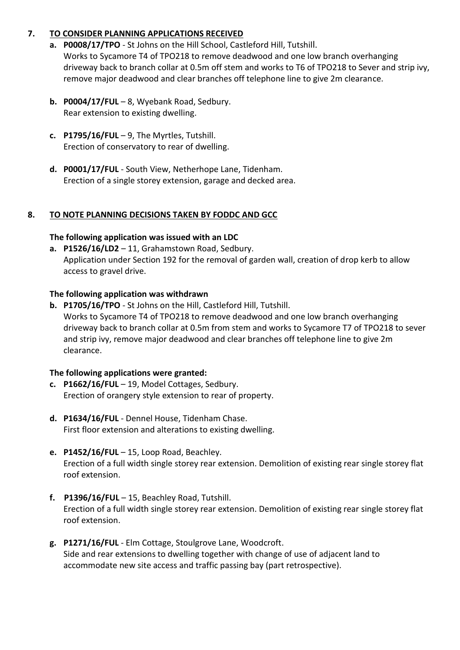# **7. TO CONSIDER PLANNING APPLICATIONS RECEIVED**

- **a. P0008/17/TPO** St Johns on the Hill School, Castleford Hill, Tutshill. Works to Sycamore T4 of TPO218 to remove deadwood and one low branch overhanging driveway back to branch collar at 0.5m off stem and works to T6 of TPO218 to Sever and strip ivy, remove major deadwood and clear branches off telephone line to give 2m clearance.
- **b. P0004/17/FUL** 8, Wyebank Road, Sedbury. Rear extension to existing dwelling.
- **c. P1795/16/FUL** 9, The Myrtles, Tutshill. Erection of conservatory to rear of dwelling.
- **d. P0001/17/FUL** South View, Netherhope Lane, Tidenham. Erection of a single storey extension, garage and decked area.

# **8. TO NOTE PLANNING DECISIONS TAKEN BY FODDC AND GCC**

#### **The following application was issued with an LDC**

**a. P1526/16/LD2** – 11, Grahamstown Road, Sedbury. Application under Section 192 for the removal of garden wall, creation of drop kerb to allow access to gravel drive.

#### **The following application was withdrawn**

**b. P1705/16/TPO** - St Johns on the Hill, Castleford Hill, Tutshill. Works to Sycamore T4 of TPO218 to remove deadwood and one low branch overhanging driveway back to branch collar at 0.5m from stem and works to Sycamore T7 of TPO218 to sever and strip ivy, remove major deadwood and clear branches off telephone line to give 2m clearance.

#### **The following applications were granted:**

- **c. P1662/16/FUL** 19, Model Cottages, Sedbury. Erection of orangery style extension to rear of property.
- **d. P1634/16/FUL** Dennel House, Tidenham Chase. First floor extension and alterations to existing dwelling.
- **e. P1452/16/FUL** 15, Loop Road, Beachley. Erection of a full width single storey rear extension. Demolition of existing rear single storey flat roof extension.
- **f. P1396/16/FUL** 15, Beachley Road, Tutshill. Erection of a full width single storey rear extension. Demolition of existing rear single storey flat roof extension.
- **g. P1271/16/FUL** Elm Cottage, Stoulgrove Lane, Woodcroft. Side and rear extensions to dwelling together with change of use of adjacent land to accommodate new site access and traffic passing bay (part retrospective).